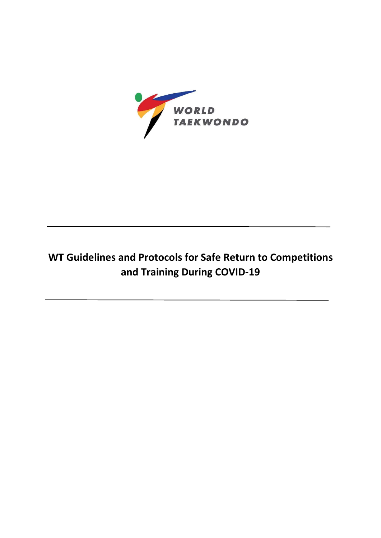

# WT Guidelines and Protocols for Safe Return to Competitions and Training During COVID-19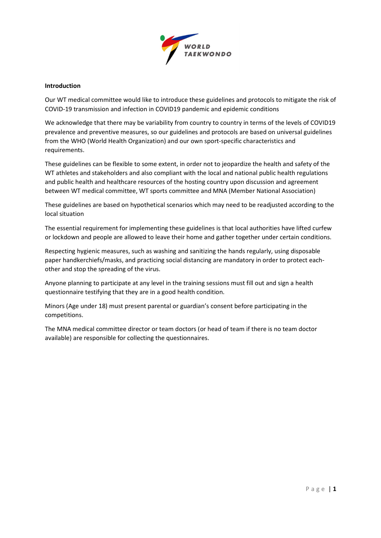

# Introduction

Our WT medical committee would like to introduce these guidelines and protocols to mitigate the risk of COVID-19 transmission and infection in COVID19 pandemic and epidemic conditions

We acknowledge that there may be variability from country to country in terms of the levels of COVID19 prevalence and preventive measures, so our guidelines and protocols are based on universal guidelines from the WHO (World Health Organization) and our own sport-specific characteristics and requirements.

These guidelines can be flexible to some extent, in order not to jeopardize the health and safety of the WT athletes and stakeholders and also compliant with the local and national public health regulations and public health and healthcare resources of the hosting country upon discussion and agreement between WT medical committee, WT sports committee and MNA (Member National Association)

These guidelines are based on hypothetical scenarios which may need to be readjusted according to the local situation

The essential requirement for implementing these guidelines is that local authorities have lifted curfew or lockdown and people are allowed to leave their home and gather together under certain conditions.

Respecting hygienic measures, such as washing and sanitizing the hands regularly, using disposable paper handkerchiefs/masks, and practicing social distancing are mandatory in order to protect eachother and stop the spreading of the virus.

Anyone planning to participate at any level in the training sessions must fill out and sign a health questionnaire testifying that they are in a good health condition.

Minors (Age under 18) must present parental or guardian's consent before participating in the competitions.

ne MNA medical committee director or team doctors (or nead or team if there is no team doctor<br>variable) are responsible for collecting the questionnaires. The MNA medical committee director or team doctors (or head of team if there is no team doctor available) are responsible for collecting the questionnaires.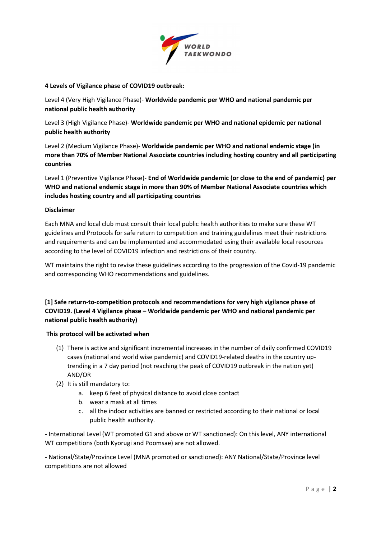

# 4 Levels of Vigilance phase of COVID19 outbreak:

Level 4 (Very High Vigilance Phase)- Worldwide pandemic per WHO and national pandemic per national public health authority

Level 3 (High Vigilance Phase)- Worldwide pandemic per WHO and national epidemic per national public health authority

Level 2 (Medium Vigilance Phase)- Worldwide pandemic per WHO and national endemic stage (in more than 70% of Member National Associate countries including hosting country and all participating countries

Level 1 (Preventive Vigilance Phase)- End of Worldwide pandemic (or close to the end of pandemic) per WHO and national endemic stage in more than 90% of Member National Associate countries which includes hosting country and all participating countries

# Disclaimer

Each MNA and local club must consult their local public health authorities to make sure these WT guidelines and Protocols for safe return to competition and training guidelines meet their restrictions and requirements and can be implemented and accommodated using their available local resources according to the level of COVID19 infection and restrictions of their country.

WT maintains the right to revise these guidelines according to the progression of the Covid-19 pandemic and corresponding WHO recommendations and guidelines.

[1] Safe return-to-competition protocols and recommendations for very high vigilance phase of COVID19. (Level 4 Vigilance phase – Worldwide pandemic per WHO and national pandemic per national public health authority)

# This protocol will be activated when

- This protocol will be activated when<br>
(1) There is active and significant incremental increases in the number of daily confirmed COVID19<br>
cases (national and world wise pandemic) and COVID19-related deaths in the country (1) There is active and significant incremental increases in the number of daily confirmed COVID19 cases (national and world wise pandemic) and COVID19-related deaths in the country uptrending in a 7 day period (not reaching the peak of COVID19 outbreak in the nation yet) AND/OR
	- (2) It is still mandatory to:
		- a. keep 6 feet of physical distance to avoid close contact
		- b. wear a mask at all times
		- c. all the indoor activities are banned or restricted according to their national or local public health authority.

- International Level (WT promoted G1 and above or WT sanctioned): On this level, ANY international WT competitions (both Kyorugi and Poomsae) are not allowed.

- National/State/Province Level (MNA promoted or sanctioned): ANY National/State/Province level competitions are not allowed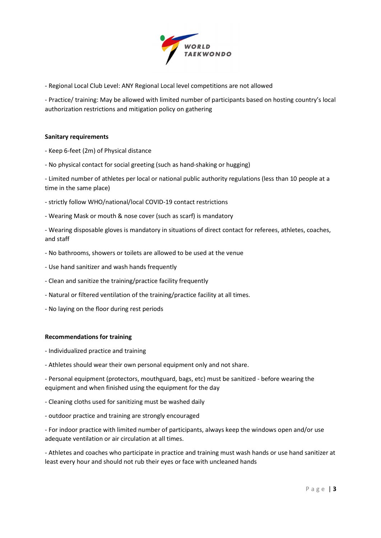

- Regional Local Club Level: ANY Regional Local level competitions are not allowed

- Practice/ training: May be allowed with limited number of participants based on hosting country's local authorization restrictions and mitigation policy on gathering

## Sanitary requirements

- Keep 6-feet (2m) of Physical distance
- No physical contact for social greeting (such as hand-shaking or hugging)

- Limited number of athletes per local or national public authority regulations (less than 10 people at a time in the same place)

- strictly follow WHO/national/local COVID-19 contact restrictions
- Wearing Mask or mouth & nose cover (such as scarf) is mandatory
- Wearing disposable gloves is mandatory in situations of direct contact for referees, athletes, coaches, and staff
- No bathrooms, showers or toilets are allowed to be used at the venue
- Use hand sanitizer and wash hands frequently
- Clean and sanitize the training/practice facility frequently
- Natural or filtered ventilation of the training/practice facility at all times.
- No laying on the floor during rest periods

#### Recommendations for training

- Individualized practice and training
- Athletes should wear their own personal equipment only and not share.

- Personal equipment (protectors, mouthguard, bags, etc) must be sanitized - before wearing the equipment and when finished using the equipment for the day

- Cleaning cloths used for sanitizing must be washed daily
- outdoor practice and training are strongly encouraged

- For indoor practice with limited number of participants, always keep the windows open and/or use adequate ventilation or air circulation at all times.

Recommendations for training<br>
- Individualized practice and training<br>
- Athletes should wear their own personal equipment only and not share.<br>
- Personal equipment (protectors, mouthguard, bags, etc) must be sanitized - be - Athletes and coaches who participate in practice and training must wash hands or use hand sanitizer at least every hour and should not rub their eyes or face with uncleaned hands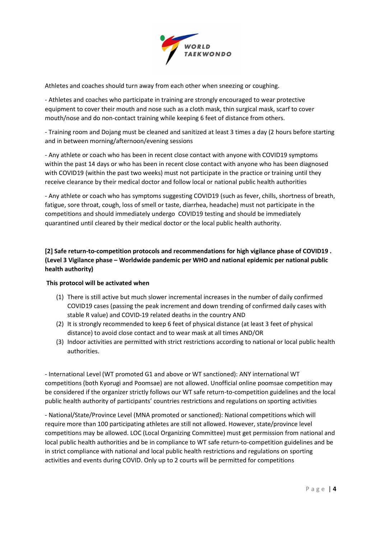

Athletes and coaches should turn away from each other when sneezing or coughing.

- Athletes and coaches who participate in training are strongly encouraged to wear protective equipment to cover their mouth and nose such as a cloth mask, thin surgical mask, scarf to cover mouth/nose and do non-contact training while keeping 6 feet of distance from others.

- Training room and Dojang must be cleaned and sanitized at least 3 times a day (2 hours before starting and in between morning/afternoon/evening sessions

- Any athlete or coach who has been in recent close contact with anyone with COVID19 symptoms within the past 14 days or who has been in recent close contact with anyone who has been diagnosed with COVID19 (within the past two weeks) must not participate in the practice or training until they receive clearance by their medical doctor and follow local or national public health authorities

- Any athlete or coach who has symptoms suggesting COVID19 (such as fever, chills, shortness of breath, fatigue, sore throat, cough, loss of smell or taste, diarrhea, headache) must not participate in the competitions and should immediately undergo COVID19 testing and should be immediately quarantined until cleared by their medical doctor or the local public health authority.

# [2] Safe return-to-competition protocols and recommendations for high vigilance phase of COVID19 . (Level 3 Vigilance phase – Worldwide pandemic per WHO and national epidemic per national public health authority)

# This protocol will be activated when

- (1) There is still active but much slower incremental increases in the number of daily confirmed COVID19 cases (passing the peak increment and down trending of confirmed daily cases with stable R value) and COVID-19 related deaths in the country AND
- (2) It is strongly recommended to keep 6 feet of physical distance (at least 3 feet of physical distance) to avoid close contact and to wear mask at all times AND/OR
- (3) Indoor activities are permitted with strict restrictions according to national or local public health authorities.

- International Level (WT promoted G1 and above or WT sanctioned): ANY international WT competitions (both Kyorugi and Poomsae) are not allowed. Unofficial online poomsae competition may be considered if the organizer strictly follows our WT safe return-to-competition guidelines and the local public health authority of participants' countries restrictions and regulations on sporting activities

distance) to avoid close contact and to wear mask at all times AND/OR<br>
(3) Indoor activities are permitted with strict restrictions according to national or local public health<br>
authorities.<br>
- International Level (WT pro - National/State/Province Level (MNA promoted or sanctioned): National competitions which will require more than 100 participating athletes are still not allowed. However, state/province level competitions may be allowed. LOC (Local Organizing Committee) must get permission from national and local public health authorities and be in compliance to WT safe return-to-competition guidelines and be in strict compliance with national and local public health restrictions and regulations on sporting activities and events during COVID. Only up to 2 courts will be permitted for competitions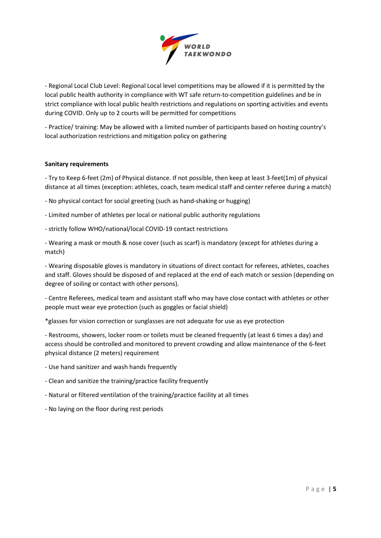

- Regional Local Club Level: Regional Local level competitions may be allowed if it is permitted by the local public health authority in compliance with WT safe return-to-competition guidelines and be in strict compliance with local public health restrictions and regulations on sporting activities and events during COVID. Only up to 2 courts will be permitted for competitions

- Practice/ training: May be allowed with a limited number of participants based on hosting country's local authorization restrictions and mitigation policy on gathering

## Sanitary requirements

- Try to Keep 6-feet (2m) of Physical distance. If not possible, then keep at least 3-feet(1m) of physical distance at all times (exception: athletes, coach, team medical staff and center referee during a match)

- No physical contact for social greeting (such as hand-shaking or hugging)
- Limited number of athletes per local or national public authority regulations
- strictly follow WHO/national/local COVID-19 contact restrictions

- Wearing a mask or mouth & nose cover (such as scarf) is mandatory (except for athletes during a match)

- Wearing disposable gloves is mandatory in situations of direct contact for referees, athletes, coaches and staff. Gloves should be disposed of and replaced at the end of each match or session (depending on degree of soiling or contact with other persons).

- Centre Referees, medical team and assistant staff who may have close contact with athletes or other people must wear eye protection (such as goggles or facial shield)

\*glasses for vision correction or sunglasses are not adequate for use as eye protection

Festrooms, showers, locker room or toilets must be cleaned frequently (at least 6 times a day) and<br>access should be controlled and monitored to prevent crowding and allow maintenance of the 6-feet<br>physical distance (2 mete - Restrooms, showers, locker room or toilets must be cleaned frequently (at least 6 times a day) and access should be controlled and monitored to prevent crowding and allow maintenance of the 6-feet physical distance (2 meters) requirement

- Use hand sanitizer and wash hands frequently
- Clean and sanitize the training/practice facility frequently
- Natural or filtered ventilation of the training/practice facility at all times
- No laying on the floor during rest periods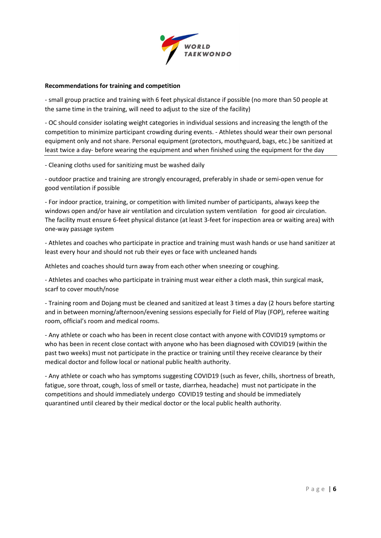

## Recommendations for training and competition

- small group practice and training with 6 feet physical distance if possible (no more than 50 people at the same time in the training, will need to adjust to the size of the facility)

- OC should consider isolating weight categories in individual sessions and increasing the length of the competition to minimize participant crowding during events. - Athletes should wear their own personal equipment only and not share. Personal equipment (protectors, mouthguard, bags, etc.) be sanitized at least twice a day- before wearing the equipment and when finished using the equipment for the day

- Cleaning cloths used for sanitizing must be washed daily

- outdoor practice and training are strongly encouraged, preferably in shade or semi-open venue for good ventilation if possible

- For indoor practice, training, or competition with limited number of participants, always keep the windows open and/or have air ventilation and circulation system ventilation for good air circulation. The facility must ensure 6-feet physical distance (at least 3-feet for inspection area or waiting area) with one-way passage system

- Athletes and coaches who participate in practice and training must wash hands or use hand sanitizer at least every hour and should not rub their eyes or face with uncleaned hands

Athletes and coaches should turn away from each other when sneezing or coughing.

- Athletes and coaches who participate in training must wear either a cloth mask, thin surgical mask, scarf to cover mouth/nose

- Training room and Dojang must be cleaned and sanitized at least 3 times a day (2 hours before starting and in between morning/afternoon/evening sessions especially for Field of Play (FOP), referee waiting room, official's room and medical rooms.

- Any athlete or coach who has been in recent close contact with anyone with COVID19 symptoms or<br>who has been in recent close contact with anyone who has been diagnosed with COVID19 (within the<br>past two weeks) must not pa - Any athlete or coach who has been in recent close contact with anyone with COVID19 symptoms or who has been in recent close contact with anyone who has been diagnosed with COVID19 (within the past two weeks) must not participate in the practice or training until they receive clearance by their medical doctor and follow local or national public health authority.

- Any athlete or coach who has symptoms suggesting COVID19 (such as fever, chills, shortness of breath, fatigue, sore throat, cough, loss of smell or taste, diarrhea, headache) must not participate in the competitions and should immediately undergo COVID19 testing and should be immediately quarantined until cleared by their medical doctor or the local public health authority.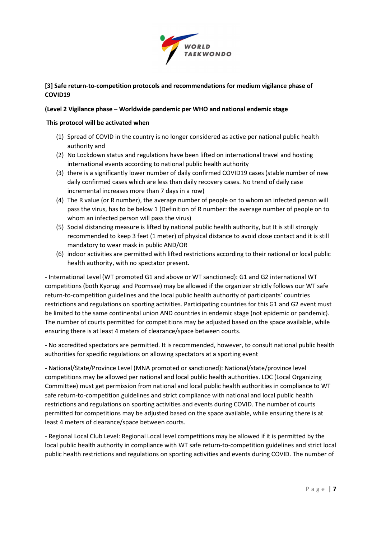

# [3] Safe return-to-competition protocols and recommendations for medium vigilance phase of COVID19

# (Level 2 Vigilance phase – Worldwide pandemic per WHO and national endemic stage

## This protocol will be activated when

- (1) Spread of COVID in the country is no longer considered as active per national public health authority and
- (2) No Lockdown status and regulations have been lifted on international travel and hosting international events according to national public health authority
- (3) there is a significantly lower number of daily confirmed COVID19 cases (stable number of new daily confirmed cases which are less than daily recovery cases. No trend of daily case incremental increases more than 7 days in a row)
- (4) The R value (or R number), the average number of people on to whom an infected person will pass the virus, has to be below 1 (Definition of R number: the average number of people on to whom an infected person will pass the virus)
- (5) Social distancing measure is lifted by national public health authority, but It is still strongly recommended to keep 3 feet (1 meter) of physical distance to avoid close contact and it is still mandatory to wear mask in public AND/OR
- (6) indoor activities are permitted with lifted restrictions according to their national or local public health authority, with no spectator present.

- International Level (WT promoted G1 and above or WT sanctioned): G1 and G2 international WT competitions (both Kyorugi and Poomsae) may be allowed if the organizer strictly follows our WT safe return-to-competition guidelines and the local public health authority of participants' countries restrictions and regulations on sporting activities. Participating countries for this G1 and G2 event must be limited to the same continental union AND countries in endemic stage (not epidemic or pandemic). The number of courts permitted for competitions may be adjusted based on the space available, while ensuring there is at least 4 meters of clearance/space between courts.

- No accredited spectators are permitted. It is recommended, however, to consult national public health authorities for specific regulations on allowing spectators at a sporting event

ensuring there is at least 4 meters of clearance/space between courts.<br>
No accredited spectators are permitted. It is recommended, however, to consult national public health<br>
authorities for specific regulations on allowin - National/State/Province Level (MNA promoted or sanctioned): National/state/province level competitions may be allowed per national and local public health authorities. LOC (Local Organizing Committee) must get permission from national and local public health authorities in compliance to WT safe return-to-competition guidelines and strict compliance with national and local public health restrictions and regulations on sporting activities and events during COVID. The number of courts permitted for competitions may be adjusted based on the space available, while ensuring there is at least 4 meters of clearance/space between courts.

- Regional Local Club Level: Regional Local level competitions may be allowed if it is permitted by the local public health authority in compliance with WT safe return-to-competition guidelines and strict local public health restrictions and regulations on sporting activities and events during COVID. The number of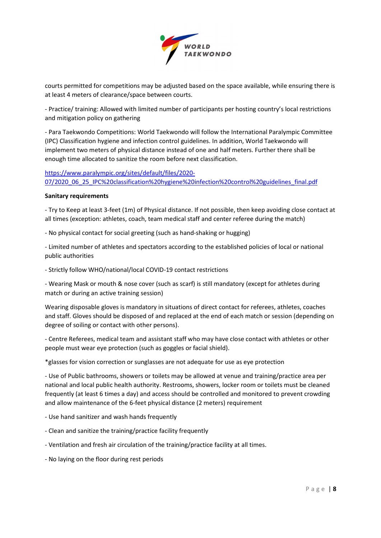

courts permitted for competitions may be adjusted based on the space available, while ensuring there is at least 4 meters of clearance/space between courts.

- Practice/ training: Allowed with limited number of participants per hosting country's local restrictions and mitigation policy on gathering

- Para Taekwondo Competitions: World Taekwondo will follow the International Paralympic Committee (IPC) Classification hygiene and infection control guidelines. In addition, World Taekwondo will implement two meters of physical distance instead of one and half meters. Further there shall be enough time allocated to sanitize the room before next classification.

https://www.paralympic.org/sites/default/files/2020- 07/2020\_06\_25\_IPC%20classification%20hygiene%20infection%20control%20guidelines\_final.pdf

## Sanitary requirements

- Try to Keep at least 3-feet (1m) of Physical distance. If not possible, then keep avoiding close contact at all times (exception: athletes, coach, team medical staff and center referee during the match)

- No physical contact for social greeting (such as hand-shaking or hugging)

- Limited number of athletes and spectators according to the established policies of local or national public authorities

- Strictly follow WHO/national/local COVID-19 contact restrictions

- Wearing Mask or mouth & nose cover (such as scarf) is still mandatory (except for athletes during match or during an active training session)

Wearing disposable gloves is mandatory in situations of direct contact for referees, athletes, coaches and staff. Gloves should be disposed of and replaced at the end of each match or session (depending on degree of soiling or contact with other persons).

- Centre Referees, medical team and assistant staff who may have close contact with athletes or other people must wear eye protection (such as goggles or facial shield).

\*glasses for vision correction or sunglasses are not adequate for use as eye protection

- Centre Referees, medical team and assistant staff who may have close contact with athletes or other<br>people must wear eye protection (such as goggles or facial shield).<br>
"glasses for vision correction or sunglasses are n - Use of Public bathrooms, showers or toilets may be allowed at venue and training/practice area per national and local public health authority. Restrooms, showers, locker room or toilets must be cleaned frequently (at least 6 times a day) and access should be controlled and monitored to prevent crowding and allow maintenance of the 6-feet physical distance (2 meters) requirement

- Use hand sanitizer and wash hands frequently
- Clean and sanitize the training/practice facility frequently
- Ventilation and fresh air circulation of the training/practice facility at all times.
- No laying on the floor during rest periods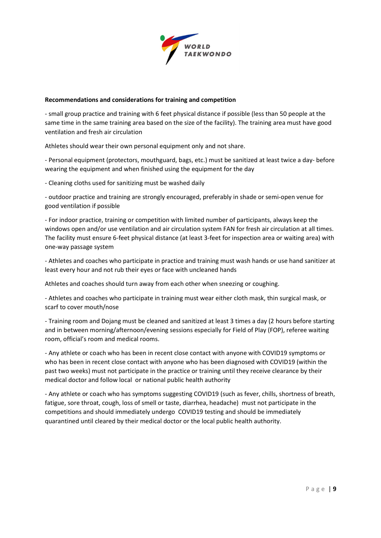

#### Recommendations and considerations for training and competition

- small group practice and training with 6 feet physical distance if possible (less than 50 people at the same time in the same training area based on the size of the facility). The training area must have good ventilation and fresh air circulation

Athletes should wear their own personal equipment only and not share.

- Personal equipment (protectors, mouthguard, bags, etc.) must be sanitized at least twice a day- before wearing the equipment and when finished using the equipment for the day

- Cleaning cloths used for sanitizing must be washed daily

- outdoor practice and training are strongly encouraged, preferably in shade or semi-open venue for good ventilation if possible

- For indoor practice, training or competition with limited number of participants, always keep the windows open and/or use ventilation and air circulation system FAN for fresh air circulation at all times. The facility must ensure 6-feet physical distance (at least 3-feet for inspection area or waiting area) with one-way passage system

- Athletes and coaches who participate in practice and training must wash hands or use hand sanitizer at least every hour and not rub their eyes or face with uncleaned hands

Athletes and coaches should turn away from each other when sneezing or coughing.

- Athletes and coaches who participate in training must wear either cloth mask, thin surgical mask, or scarf to cover mouth/nose

- Training room and Dojang must be cleaned and sanitized at least 3 times a day (2 hours before starting and in between morning/afternoon/evening sessions especially for Field of Play (FOP), referee waiting room, official's room and medical rooms.

- Any athlete or coach who has been in recent close contact with anyone with COVID19 symptoms or who has been in recent close contact with anyone who has been diagnosed with COVID19 (within the past two weeks) must not participate in the practice or training until they receive clearance by their medical doctor and follow local or national public health authority

and in between morning/afternoon/evening sessions especially for Field of Play (FOP), referee waiting<br>norm, official's room and medical rooms.<br>Any athlete or coach who has been in recent close contact with anyone with COVI - Any athlete or coach who has symptoms suggesting COVID19 (such as fever, chills, shortness of breath, fatigue, sore throat, cough, loss of smell or taste, diarrhea, headache) must not participate in the competitions and should immediately undergo COVID19 testing and should be immediately quarantined until cleared by their medical doctor or the local public health authority.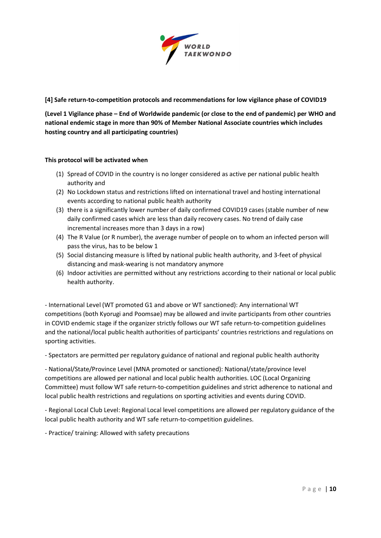

[4] Safe return-to-competition protocols and recommendations for low vigilance phase of COVID19

(Level 1 Vigilance phase – End of Worldwide pandemic (or close to the end of pandemic) per WHO and national endemic stage in more than 90% of Member National Associate countries which includes hosting country and all participating countries)

## This protocol will be activated when

- (1) Spread of COVID in the country is no longer considered as active per national public health authority and
- (2) No Lockdown status and restrictions lifted on international travel and hosting international events according to national public health authority
- (3) there is a significantly lower number of daily confirmed COVID19 cases (stable number of new daily confirmed cases which are less than daily recovery cases. No trend of daily case incremental increases more than 3 days in a row)
- (4) The R Value (or R number), the average number of people on to whom an infected person will pass the virus, has to be below 1
- (5) Social distancing measure is lifted by national public health authority, and 3-feet of physical distancing and mask-wearing is not mandatory anymore
- (6) Indoor activities are permitted without any restrictions according to their national or local public health authority.

- International Level (WT promoted G1 and above or WT sanctioned): Any international WT competitions (both Kyorugi and Poomsae) may be allowed and invite participants from other countries in COVID endemic stage if the organizer strictly follows our WT safe return-to-competition guidelines and the national/local public health authorities of participants' countries restrictions and regulations on sporting activities.

- Spectators are permitted per regulatory guidance of national and regional public health authority

and the national/local public health authorities of participants' countries restrictions and regulations on<br>sporting activities.<br>
- Spectators are permitted per regulatory guidance of national and regional public health au - National/State/Province Level (MNA promoted or sanctioned): National/state/province level competitions are allowed per national and local public health authorities. LOC (Local Organizing Committee) must follow WT safe return-to-competition guidelines and strict adherence to national and local public health restrictions and regulations on sporting activities and events during COVID.

- Regional Local Club Level: Regional Local level competitions are allowed per regulatory guidance of the local public health authority and WT safe return-to-competition guidelines.

- Practice/ training: Allowed with safety precautions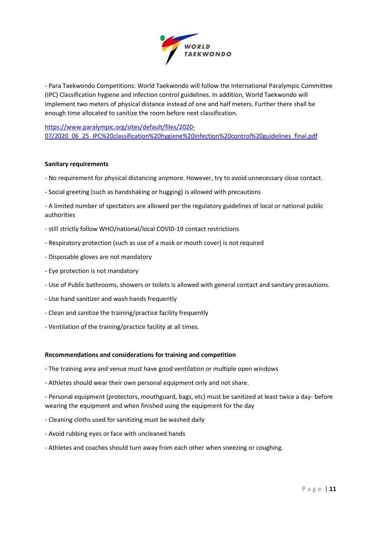

- Para Taekwondo Competitions: World Taekwondo will follow the International Paralympic Committee (IPC) Classification hygiene and infection control guidelines. In addition, World Taekwondo will implement two meters of physical distance instead of one and half meters. Further there shall be enough time allocated to sanitize the room before next classification.

https://www.paralympic.org/sites/default/files/2020- 07/2020\_06\_25\_IPC%20classification%20hygiene%20infection%20control%20guidelines\_final.pdf

## Sanitary requirements

- No requirement for physical distancing anymore. However, try to avoid unnecessary close contact.
- Social greeting (such as handshaking or hugging) is allowed with precautions
- A limited number of spectators are allowed per the regulatory guidelines of local or national public authorities
- still strictly follow WHO/national/local COVID-19 contact restrictions
- Respiratory protection (such as use of a mask or mouth cover) is not required
- Disposable gloves are not mandatory
- Eye protection is not mandatory
- Use of Public bathrooms, showers or toilets is allowed with general contact and sanitary precautions.
- Use hand sanitizer and wash hands frequently
- Clean and sanitize the training/practice facility frequently
- Ventilation of the training/practice facility at all times.

#### Recommendations and considerations for training and competition

- The training area and venue must have good ventilation or multiple open windows
- Athletes should wear their own personal equipment only and not share.

Ferimation of the channing procede heality of an annuals.<br> **Recommendations and considerations for training and competition**<br>
The training area and venue must have good ventilation or multiple open windows<br>
Athletes should - Personal equipment (protectors, mouthguard, bags, etc) must be sanitized at least twice a day- before wearing the equipment and when finished using the equipment for the day

- Cleaning cloths used for sanitizing must be washed daily
- Avoid rubbing eyes or face with uncleaned hands
- Athletes and coaches should turn away from each other when sneezing or coughing.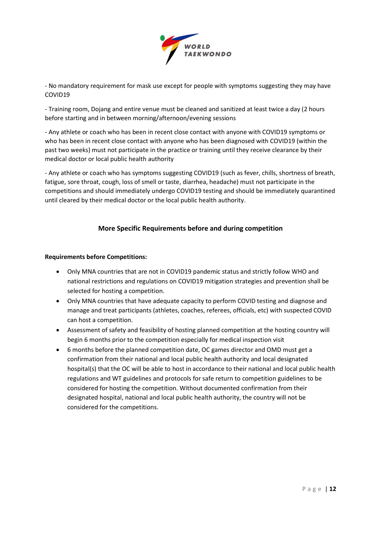

- No mandatory requirement for mask use except for people with symptoms suggesting they may have COVID19

- Training room, Dojang and entire venue must be cleaned and sanitized at least twice a day (2 hours before starting and in between morning/afternoon/evening sessions

- Any athlete or coach who has been in recent close contact with anyone with COVID19 symptoms or who has been in recent close contact with anyone who has been diagnosed with COVID19 (within the past two weeks) must not participate in the practice or training until they receive clearance by their medical doctor or local public health authority

- Any athlete or coach who has symptoms suggesting COVID19 (such as fever, chills, shortness of breath, fatigue, sore throat, cough, loss of smell or taste, diarrhea, headache) must not participate in the competitions and should immediately undergo COVID19 testing and should be immediately quarantined until cleared by their medical doctor or the local public health authority.

# More Specific Requirements before and during competition

# Requirements before Competitions:

- Only MNA countries that are not in COVID19 pandemic status and strictly follow WHO and national restrictions and regulations on COVID19 mitigation strategies and prevention shall be selected for hosting a competition.
- Only MNA countries that have adequate capacity to perform COVID testing and diagnose and manage and treat participants (athletes, coaches, referees, officials, etc) with suspected COVID can host a competition.
- Assessment of safety and feasibility of hosting planned competition at the hosting country will begin 6 months prior to the competition especially for medical inspection visit
- Assessment of safety and reasisibility of hosting planed competition at the hosting country will<br>
begin 6 months prior to the competition especially for medical inspection visit<br>
6 months before the planned competition 6 months before the planned competition date, OC games director and OMD must get a confirmation from their national and local public health authority and local designated hospital(s) that the OC will be able to host in accordance to their national and local public health regulations and WT guidelines and protocols for safe return to competition guidelines to be considered for hosting the competition. Without documented confirmation from their designated hospital, national and local public health authority, the country will not be considered for the competitions.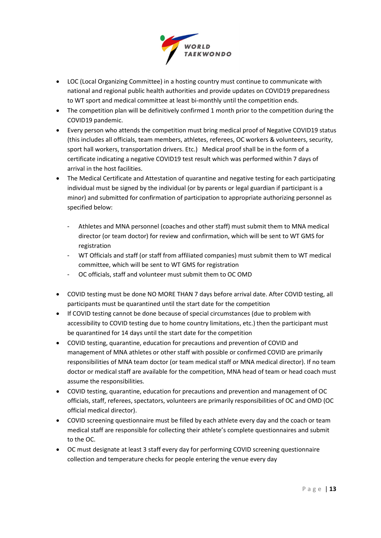

- LOC (Local Organizing Committee) in a hosting country must continue to communicate with national and regional public health authorities and provide updates on COVID19 preparedness to WT sport and medical committee at least bi-monthly until the competition ends.
- The competition plan will be definitively confirmed 1 month prior to the competition during the COVID19 pandemic.
- Every person who attends the competition must bring medical proof of Negative COVID19 status (this includes all officials, team members, athletes, referees, OC workers & volunteers, security, sport hall workers, transportation drivers. Etc.) Medical proof shall be in the form of a certificate indicating a negative COVID19 test result which was performed within 7 days of arrival in the host facilities.
- The Medical Certificate and Attestation of quarantine and negative testing for each participating individual must be signed by the individual (or by parents or legal guardian if participant is a minor) and submitted for confirmation of participation to appropriate authorizing personnel as specified below:
	- Athletes and MNA personnel (coaches and other staff) must submit them to MNA medical director (or team doctor) for review and confirmation, which will be sent to WT GMS for registration
	- WT Officials and staff (or staff from affiliated companies) must submit them to WT medical committee, which will be sent to WT GMS for registration
	- OC officials, staff and volunteer must submit them to OC OMD
- COVID testing must be done NO MORE THAN 7 days before arrival date. After COVID testing, all participants must be quarantined until the start date for the competition
- If COVID testing cannot be done because of special circumstances (due to problem with accessibility to COVID testing due to home country limitations, etc.) then the participant must be quarantined for 14 days until the start date for the competition
- be quarantined for 14 days until the start date for the competition<br> **e** CVID is esting, quarantine, education for preacutions and prevention of COVID and<br>
management of MNA athletes or other staff with possible or confir COVID testing, quarantine, education for precautions and prevention of COVID and management of MNA athletes or other staff with possible or confirmed COVID are primarily responsibilities of MNA team doctor (or team medical staff or MNA medical director). If no team doctor or medical staff are available for the competition, MNA head of team or head coach must assume the responsibilities.
	- COVID testing, quarantine, education for precautions and prevention and management of OC officials, staff, referees, spectators, volunteers are primarily responsibilities of OC and OMD (OC official medical director).
	- COVID screening questionnaire must be filled by each athlete every day and the coach or team medical staff are responsible for collecting their athlete's complete questionnaires and submit to the OC.
	- OC must designate at least 3 staff every day for performing COVID screening questionnaire collection and temperature checks for people entering the venue every day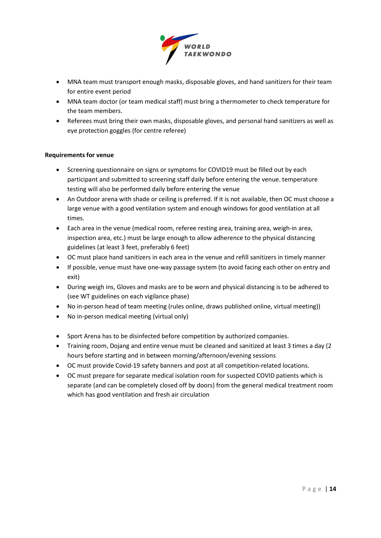

- MNA team must transport enough masks, disposable gloves, and hand sanitizers for their team for entire event period
- MNA team doctor (or team medical staff) must bring a thermometer to check temperature for the team members.
- Referees must bring their own masks, disposable gloves, and personal hand sanitizers as well as eye protection goggles (for centre referee)

# Requirements for venue

- Screening questionnaire on signs or symptoms for COVID19 must be filled out by each participant and submitted to screening staff daily before entering the venue. temperature testing will also be performed daily before entering the venue
- An Outdoor arena with shade or ceiling is preferred. If it is not available, then OC must choose a large venue with a good ventilation system and enough windows for good ventilation at all times.
- Each area in the venue (medical room, referee resting area, training area, weigh-in area, inspection area, etc.) must be large enough to allow adherence to the physical distancing guidelines (at least 3 feet, preferably 6 feet)
- OC must place hand sanitizers in each area in the venue and refill sanitizers in timely manner
- If possible, venue must have one-way passage system (to avoid facing each other on entry and exit)
- During weigh ins, Gloves and masks are to be worn and physical distancing is to be adhered to (see WT guidelines on each vigilance phase)
- No in-person head of team meeting (rules online, draws published online, virtual meeting))
- No in-person medical meeting (virtual only)
- Sport Arena has to be disinfected before competition by authorized companies.
- Training room, Dojang and entire venue must be cleaned and sanitized at least 3 times a day (2 hours before starting and in between morning/afternoon/evening sessions
- OC must provide Covid-19 safety banners and post at all competition-related locations.
- Sport Arena has to be disinfected before competition by authorized companies.<br>
 Training room, Dojang and entire venue must be cleaned and sanitized at least 3 times a day (2<br>
hours before starting and in between mor OC must prepare for separate medical isolation room for suspected COVID patients which is separate (and can be completely closed off by doors) from the general medical treatment room which has good ventilation and fresh air circulation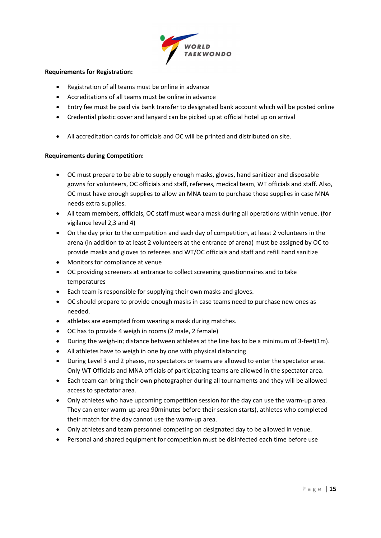

## Requirements for Registration:

- Registration of all teams must be online in advance
- Accreditations of all teams must be online in advance
- Entry fee must be paid via bank transfer to designated bank account which will be posted online
- Credential plastic cover and lanyard can be picked up at official hotel up on arrival
- All accreditation cards for officials and OC will be printed and distributed on site.

## Requirements during Competition:

- OC must prepare to be able to supply enough masks, gloves, hand sanitizer and disposable gowns for volunteers, OC officials and staff, referees, medical team, WT officials and staff. Also, OC must have enough supplies to allow an MNA team to purchase those supplies in case MNA needs extra supplies.
- All team members, officials, OC staff must wear a mask during all operations within venue. (for vigilance level 2,3 and 4)
- On the day prior to the competition and each day of competition, at least 2 volunteers in the arena (in addition to at least 2 volunteers at the entrance of arena) must be assigned by OC to provide masks and gloves to referees and WT/OC officials and staff and refill hand sanitize
- Monitors for compliance at venue
- OC providing screeners at entrance to collect screening questionnaires and to take temperatures
- Each team is responsible for supplying their own masks and gloves.
- OC should prepare to provide enough masks in case teams need to purchase new ones as needed.
- athletes are exempted from wearing a mask during matches.
- OC has to provide 4 weigh in rooms (2 male, 2 female)
- During the weigh-in; distance between athletes at the line has to be a minimum of 3-feet(1m).
- All athletes have to weigh in one by one with physical distancing
- During Level 3 and 2 phases, no spectators or teams are allowed to enter the spectator area. Only WT Officials and MNA officials of participating teams are allowed in the spectator area.
- Each team can bring their own photographer during all tournaments and they will be allowed access to spectator area.
- OC has to provide 4 weigh in rooms (2 male, 2 female)<br>
 During the weigh-in; distance between a thiletes at the line has to be a minimum of 3-feet(1m).<br>
 All athletes have to weigh in one by one with physical distanc Only athletes who have upcoming competition session for the day can use the warm-up area. They can enter warm-up area 90minutes before their session starts), athletes who completed their match for the day cannot use the warm-up area.
	- Only athletes and team personnel competing on designated day to be allowed in venue.
	- Personal and shared equipment for competition must be disinfected each time before use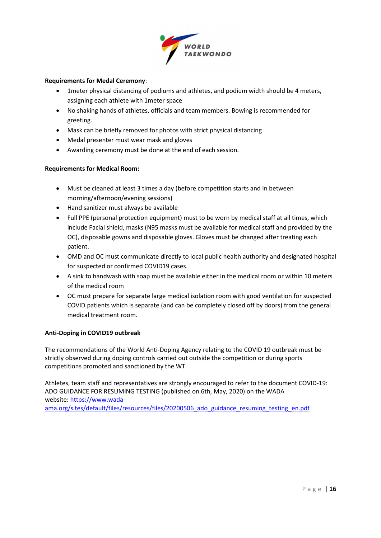

## Requirements for Medal Ceremony:

- 1meter physical distancing of podiums and athletes, and podium width should be 4 meters, assigning each athlete with 1meter space
- No shaking hands of athletes, officials and team members. Bowing is recommended for greeting.
- Mask can be briefly removed for photos with strict physical distancing
- Medal presenter must wear mask and gloves
- Awarding ceremony must be done at the end of each session.

## Requirements for Medical Room:

- Must be cleaned at least 3 times a day (before competition starts and in between morning/afternoon/evening sessions)
- Hand sanitizer must always be available
- Full PPE (personal protection equipment) must to be worn by medical staff at all times, which include Facial shield, masks (N95 masks must be available for medical staff and provided by the OC), disposable gowns and disposable gloves. Gloves must be changed after treating each patient.
- OMD and OC must communicate directly to local public health authority and designated hospital for suspected or confirmed COVID19 cases.
- A sink to handwash with soap must be available either in the medical room or within 10 meters of the medical room
- OC must prepare for separate large medical isolation room with good ventilation for suspected COVID patients which is separate (and can be completely closed off by doors) from the general medical treatment room.

#### Anti-Doping in COVID19 outbreak

The recommendations of the World Anti-Doping Agency relating to the COVID 19 outbreak must be strictly observed during doping controls carried out outside the competition or during sports competitions promoted and sanctioned by the WT.

Anti-Doping in COVID19 outbreak<br>The recommendations of the World Anti-Doping Agency relating to the COVID 19 outbreak must be<br>strictly observed during doping controls carried out outside the competition or during sports<br>co Athletes, team staff and representatives are strongly encouraged to refer to the document COVID-19: ADO GUIDANCE FOR RESUMING TESTING (published on 6th, May, 2020) on the WADA website: https://www.wadaama.org/sites/default/files/resources/files/20200506\_ado\_guidance\_resuming\_testing\_en.pdf